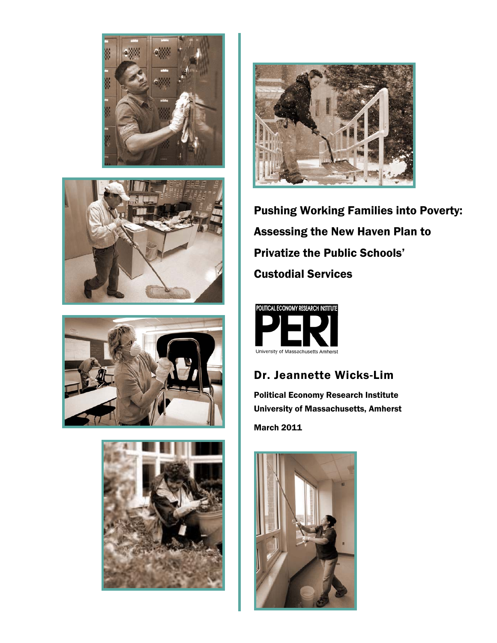









Pushing Working Families into Poverty: Assessing the New Haven Plan to Privatize the Public Schools' Custodial Services



# Dr. Jeannette Wicks-Lim

Political Economy Research Institute University of Massachusetts, Amherst

March 2011

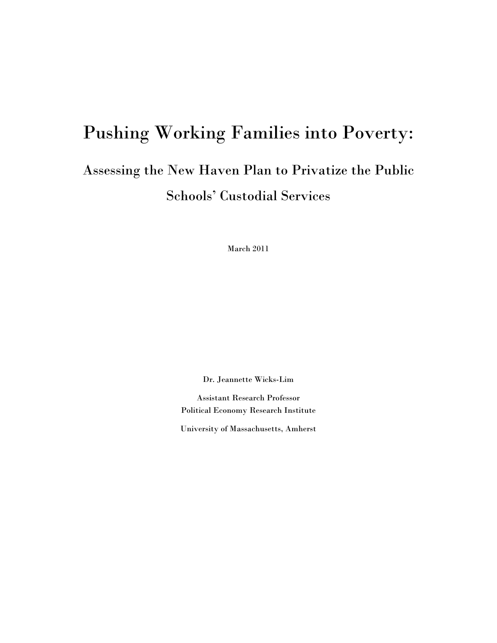# Pushing Working Families into Poverty: Assessing the New Haven Plan to Privatize the Public Schools' Custodial Services

March 2011

Dr. Jeannette Wicks-Lim

Assistant Research Professor Political Economy Research Institute

University of Massachusetts, Amherst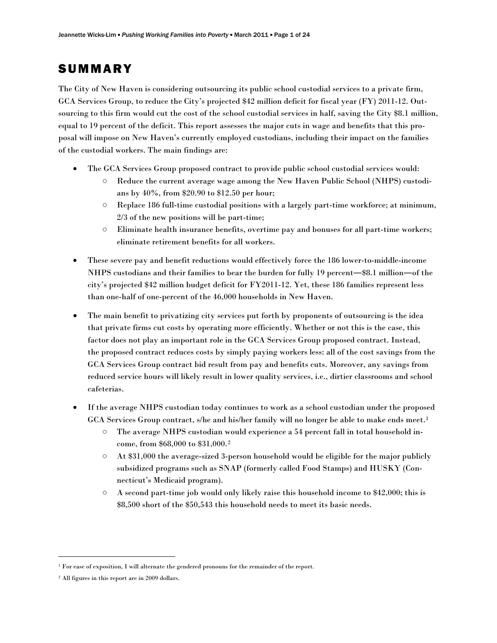# **SUMMARY**

The City of New Haven is considering outsourcing its public school custodial services to a private firm, GCA Services Group, to reduce the City's projected \$42 million deficit for fiscal year (FY) 2011-12. Outsourcing to this firm would cut the cost of the school custodial services in half, saving the City \$8.1 million, equal to 19 percent of the deficit. This report assesses the major cuts in wage and benefits that this proposal will impose on New Haven's currently employed custodians, including their impact on the families of the custodial workers. The main findings are:

- The GCA Services Group proposed contract to provide public school custodial services would:
	- Reduce the current average wage among the New Haven Public School (NHPS) custodians by 40%, from \$20.90 to \$12.50 per hour;
	- Replace 186 full-time custodial positions with a largely part-time workforce; at minimum, 2/3 of the new positions will be part-time;
	- Eliminate health insurance benefits, overtime pay and bonuses for all part-time workers; eliminate retirement benefits for all workers.
- These severe pay and benefit reductions would effectively force the 186 lower-to-middle-income NHPS custodians and their families to bear the burden for fully 19 percent―\$8.1 million―of the city's projected \$42 million budget deficit for FY2011-12. Yet, these 186 families represent less than one-half of one-percent of the 46,000 households in New Haven.
- The main benefit to privatizing city services put forth by proponents of outsourcing is the idea that private firms cut costs by operating more efficiently. Whether or not this is the case, this factor does not play an important role in the GCA Services Group proposed contract. Instead, the proposed contract reduces costs by simply paying workers less: all of the cost savings from the GCA Services Group contract bid result from pay and benefits cuts. Moreover, any savings from reduced service hours will likely result in lower quality services, i.e., dirtier classrooms and school cafeterias.
- If the average NHPS custodian today continues to work as a school custodian under the proposed GCA Services Group contract, s/he and his/her family will no longer be able to make ends meet.<sup>[1](#page-2-0)</sup>
	- The average NHPS custodian would experience a 54 percent fall in total household income, from \$68,000 to \$31,000.[2](#page-2-1)
	- At \$31,000 the average-sized 3-person household would be eligible for the major publicly subsidized programs such as SNAP (formerly called Food Stamps) and HUSKY (Connecticut's Medicaid program).
	- $\circ$  A second part-time job would only likely raise this household income to \$42,000; this is \$8,500 short of the \$50,543 this household needs to meet its basic needs.

<span id="page-2-0"></span><sup>&</sup>lt;sup>1</sup> For ease of exposition, I will alternate the gendered pronouns for the remainder of the report.

<span id="page-2-1"></span><sup>2</sup> All figures in this report are in 2009 dollars.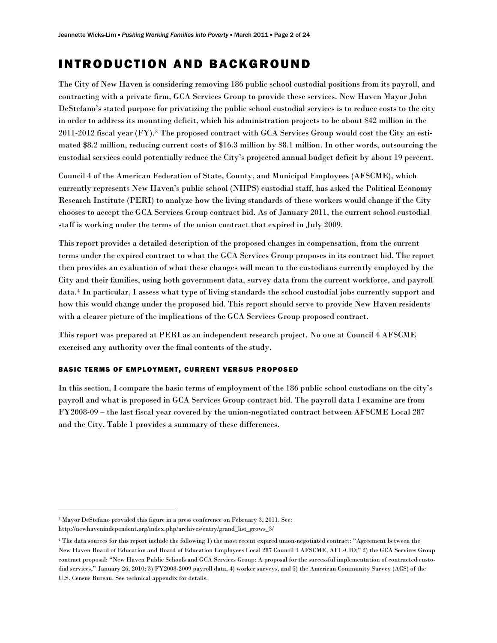# INTRODUCTION AND BACKGROUND

The City of New Haven is considering removing 186 public school custodial positions from its payroll, and contracting with a private firm, GCA Services Group to provide these services. New Haven Mayor John DeStefano's stated purpose for privatizing the public school custodial services is to reduce costs to the city in order to address its mounting deficit, which his administration projects to be about \$42 million in the 2011-2012 fiscal year (FY).[3](#page-3-0) The proposed contract with GCA Services Group would cost the City an estimated \$8.2 million, reducing current costs of \$16.3 million by \$8.1 million. In other words, outsourcing the custodial services could potentially reduce the City's projected annual budget deficit by about 19 percent.

Council 4 of the American Federation of State, County, and Municipal Employees (AFSCME), which currently represents New Haven's public school (NHPS) custodial staff, has asked the Political Economy Research Institute (PERI) to analyze how the living standards of these workers would change if the City chooses to accept the GCA Services Group contract bid. As of January 2011, the current school custodial staff is working under the terms of the union contract that expired in July 2009.

This report provides a detailed description of the proposed changes in compensation, from the current terms under the expired contract to what the GCA Services Group proposes in its contract bid. The report then provides an evaluation of what these changes will mean to the custodians currently employed by the City and their families, using both government data, survey data from the current workforce, and payroll data.[4](#page-3-1) In particular, I assess what type of living standards the school custodial jobs currently support and how this would change under the proposed bid. This report should serve to provide New Haven residents with a clearer picture of the implications of the GCA Services Group proposed contract.

This report was prepared at PERI as an independent research project. No one at Council 4 AFSCME exercised any authority over the final contents of the study.

# BASIC TERMS OF EMPLOYMENT, CURRENT VERSUS PROPOSED

In this section, I compare the basic terms of employment of the 186 public school custodians on the city's payroll and what is proposed in GCA Services Group contract bid. The payroll data I examine are from FY2008-09 – the last fiscal year covered by the union-negotiated contract between AFSCME Local 287 and the City. Table 1 provides a summary of these differences.

<span id="page-3-0"></span><sup>3</sup> Mayor DeStefano provided this figure in a press conference on February 3, 2011. See: [http://newhavenindependent.org/index.php/archives/entry/grand\\_list\\_grows\\_3/](http://newhavenindependent.org/index.php/archives/entry/grand_list_grows_3/) 

<span id="page-3-1"></span><sup>4</sup> The data sources for this report include the following 1) the most recent expired union-negotiated contract: "Agreement between the New Haven Board of Education and Board of Education Employees Local 287 Council 4 AFSCME, AFL-CIO;" 2) the GCA Services Group contract proposal: "New Haven Public Schools and GCA Services Group: A proposal for the successful implementation of contracted custodial services," January 26, 2010; 3) FY2008-2009 payroll data, 4) worker surveys, and 5) the American Community Survey (ACS) of the U.S. Census Bureau. See technical appendix for details.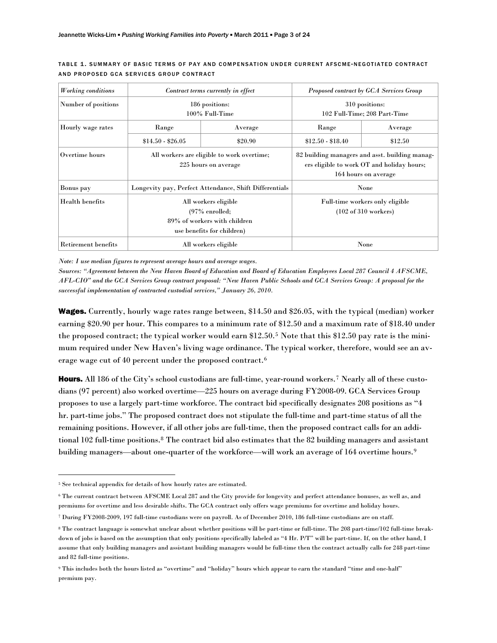| <b>Working</b> conditions | Contract terms currently in effect                                                                      |         | Proposed contract by GCA Services Group                                                                              |         |
|---------------------------|---------------------------------------------------------------------------------------------------------|---------|----------------------------------------------------------------------------------------------------------------------|---------|
| Number of positions       | 186 positions:<br>100% Full-Time                                                                        |         | 310 positions:<br>102 Full-Time; 208 Part-Time                                                                       |         |
| Hourly wage rates         | Range                                                                                                   | Average | Range                                                                                                                | Average |
|                           | $$14.50 - $26.05$                                                                                       | \$20.90 | $$12.50 - $18.40$                                                                                                    | \$12.50 |
| Overtime hours            | All workers are eligible to work overtime;<br>225 hours on average                                      |         | 82 building managers and asst. building manag-<br>ers eligible to work OT and holiday hours;<br>164 hours on average |         |
| Bonus pay                 | Longevity pay, Perfect Attendance, Shift Differentials                                                  |         | None                                                                                                                 |         |
| <b>Health</b> benefits    | All workers eligible<br>$(97\%$ enrolled;<br>89% of workers with children<br>use benefits for children) |         | Full-time workers only eligible<br>(102 of 310 workers)                                                              |         |
| Retirement benefits       | All workers eligible                                                                                    |         |                                                                                                                      | None    |

### TABLE 1. SUMMARY OF BASIC TERMS OF PAY AND COMPENSATION UNDER CURRENT AFSCME -NEGOTIATED CONTRACT AND PROPOSED GCA SERVICES GROUP CONTRACT

*Note: I use median figures to represent average hours and average wages.* 

*Sources: "Agreement between the New Haven Board of Education and Board of Education Employees Local 287 Council 4 AFSCME, AFL-CIO" and the GCA Services Group contract proposal: "New Haven Public Schools and GCA Services Group: A proposal for the successful implementation of contracted custodial services," January 26, 2010.* 

Wages. Currently, hourly wage rates range between, \$14.50 and \$26.05, with the typical (median) worker earning \$20.90 per hour. This compares to a minimum rate of \$12.50 and a maximum rate of \$18.40 under the proposed contract; the typical worker would earn \$12.50.[5](#page-4-0) Note that this \$12.50 pay rate is the minimum required under New Haven's living wage ordinance. The typical worker, therefore, would see an average wage cut of 40 percent under the proposed contract.[6](#page-4-1)

Hours. All 186 of the City's school custodians are full-time, year-round workers.<sup>[7](#page-4-2)</sup> Nearly all of these custodians (97 percent) also worked overtime—225 hours on average during FY2008-09. GCA Services Group proposes to use a largely part-time workforce. The contract bid specifically designates 208 positions as "4 hr. part-time jobs." The proposed contract does not stipulate the full-time and part-time status of all the remaining positions. However, if all other jobs are full-time, then the proposed contract calls for an addi-tional 102 full-time positions.<sup>[8](#page-4-3)</sup> The contract bid also estimates that the 82 building managers and assistant building managers—about one-quarter of the workforce—will work an average of 164 overtime hours.[9](#page-4-4)

<span id="page-4-0"></span><sup>5</sup> See technical appendix for details of how hourly rates are estimated.

<span id="page-4-1"></span><sup>6</sup> The current contract between AFSCME Local 287 and the City provide for longevity and perfect attendance bonuses, as well as, and premiums for overtime and less desirable shifts. The GCA contract only offers wage premiums for overtime and holiday hours.

<span id="page-4-2"></span><sup>7</sup> During FY2008-2009, 197 full-time custodians were on payroll. As of December 2010, 186 full-time custodians are on staff.

<span id="page-4-3"></span><sup>8</sup> The contract language is somewhat unclear about whether positions will be part-time or full-time. The 208 part-time/102 full-time breakdown of jobs is based on the assumption that only positions specifically labeled as "4 Hr. P/T" will be part-time. If, on the other hand, I assume that only building managers and assistant building managers would be full-time then the contract actually calls for 248 part-time and 82 full-time positions.

<span id="page-4-4"></span><sup>9</sup> This includes both the hours listed as "overtime" and "holiday" hours which appear to earn the standard "time and one-half" premium pay.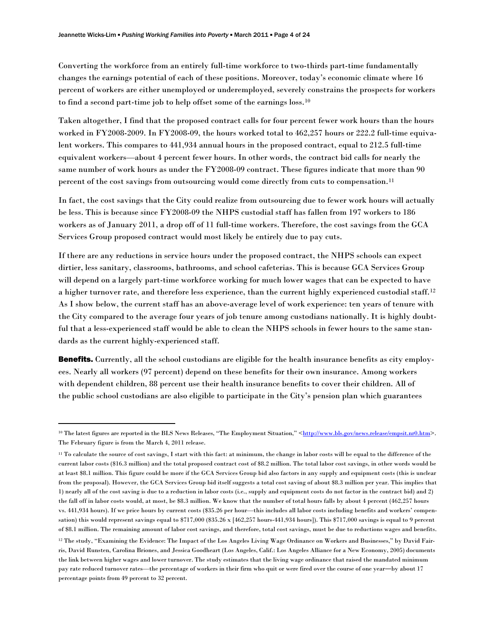Converting the workforce from an entirely full-time workforce to two-thirds part-time fundamentally changes the earnings potential of each of these positions. Moreover, today's economic climate where 16 percent of workers are either unemployed or underemployed, severely constrains the prospects for workers to find a second part-time job to help offset some of the earnings loss.[10](#page-5-0)

Taken altogether, I find that the proposed contract calls for four percent fewer work hours than the hours worked in FY2008-2009. In FY2008-09, the hours worked total to 462,257 hours or 222.2 full-time equivalent workers. This compares to 441,934 annual hours in the proposed contract, equal to 212.5 full-time equivalent workers—about 4 percent fewer hours. In other words, the contract bid calls for nearly the same number of work hours as under the FY2008-09 contract. These figures indicate that more than 90 percent of the cost savings from outsourcing would come directly from cuts to compensation.<sup>[11](#page-5-1)</sup>

In fact, the cost savings that the City could realize from outsourcing due to fewer work hours will actually be less. This is because since FY2008-09 the NHPS custodial staff has fallen from 197 workers to 186 workers as of January 2011, a drop off of 11 full-time workers. Therefore, the cost savings from the GCA Services Group proposed contract would most likely be entirely due to pay cuts.

If there are any reductions in service hours under the proposed contract, the NHPS schools can expect dirtier, less sanitary, classrooms, bathrooms, and school cafeterias. This is because GCA Services Group will depend on a largely part-time workforce working for much lower wages that can be expected to have a higher turnover rate, and therefore less experience, than the current highly experienced custodial staff.[12](#page-5-2) As I show below, the current staff has an above-average level of work experience: ten years of tenure with the City compared to the average four years of job tenure among custodians nationally. It is highly doubtful that a less-experienced staff would be able to clean the NHPS schools in fewer hours to the same standards as the current highly-experienced staff.

Benefits. Currently, all the school custodians are eligible for the health insurance benefits as city employees. Nearly all workers (97 percent) depend on these benefits for their own insurance. Among workers with dependent children, 88 percent use their health insurance benefits to cover their children. All of the public school custodians are also eligible to participate in the City's pension plan which guarantees

<span id="page-5-0"></span><sup>&</sup>lt;sup>10</sup> The latest figures are reported in the BLS News Releases, "The Employment Situation," [<http://www.bls.gov/news.release/empsit.nr0.htm](http://www.bls.gov/news.release/empsit.nr0.htm)>. The February figure is from the March 4, 2011 release.

<span id="page-5-1"></span><sup>&</sup>lt;sup>11</sup> To calculate the source of cost savings, I start with this fact: at minimum, the change in labor costs will be equal to the difference of the current labor costs (\$16.3 million) and the total proposed contract cost of \$8.2 million. The total labor cost savings, in other words would be at least \$8.1 million. This figure could be more if the GCA Services Group bid also factors in any supply and equipment costs (this is unclear from the proposal). However, the GCA Services Group bid itself suggests a total cost saving of about \$8.3 million per year. This implies that 1) nearly all of the cost saving is due to a reduction in labor costs (i.e., supply and equipment costs do not factor in the contract bid) and 2) the fall off in labor costs would, at most, be \$8.3 million. We know that the number of total hours falls by about 4 percent (462,257 hours vs. 441,934 hours). If we price hours by current costs (\$35.26 per hour—this includes all labor costs including benefits and workers' compensation) this would represent savings equal to \$717,000 (\$35.26 x [462,257 hours-441,934 hours]). This \$717,000 savings is equal to 9 percent of \$8.1 million. The remaining amount of labor cost savings, and therefore, total cost savings, must be due to reductions wages and benefits.

<span id="page-5-2"></span><sup>12</sup> The study, "Examining the Evidence: The Impact of the Los Angeles Living Wage Ordinance on Workers and Businesses," by David Fairris, David Runsten, Carolina Briones, and Jessica Goodheart (Los Angeles, Calif.: Los Angeles Alliance for a New Economy, 2005) documents the link between higher wages and lower turnover. The study estimates that the living wage ordinance that raised the mandated minimum pay rate reduced turnover rates—the percentage of workers in their firm who quit or were fired over the course of one year―by about 17 percentage points from 49 percent to 32 percent.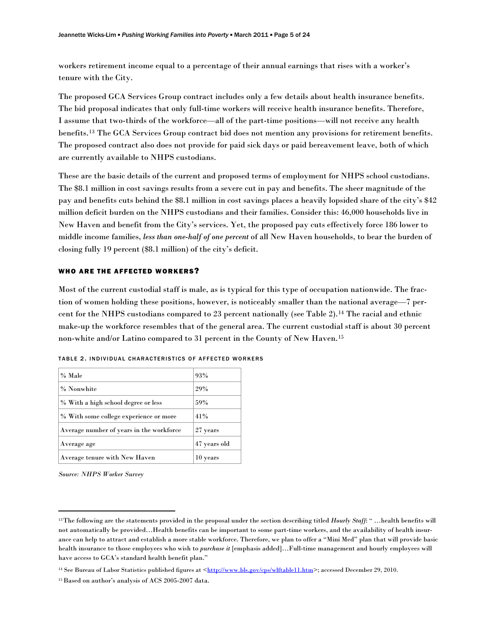workers retirement income equal to a percentage of their annual earnings that rises with a worker's tenure with the City.

The proposed GCA Services Group contract includes only a few details about health insurance benefits. The bid proposal indicates that only full-time workers will receive health insurance benefits. Therefore, I assume that two-thirds of the workforce—all of the part-time positions—will not receive any health benefits.[13](#page-6-0) The GCA Services Group contract bid does not mention any provisions for retirement benefits. The proposed contract also does not provide for paid sick days or paid bereavement leave, both of which are currently available to NHPS custodians.

These are the basic details of the current and proposed terms of employment for NHPS school custodians. The \$8.1 million in cost savings results from a severe cut in pay and benefits. The sheer magnitude of the pay and benefits cuts behind the \$8.1 million in cost savings places a heavily lopsided share of the city's \$42 million deficit burden on the NHPS custodians and their families. Consider this: 46,000 households live in New Haven and benefit from the City's services. Yet, the proposed pay cuts effectively force 186 lower to middle income families, *less than one-half of one percent* of all New Haven households, to bear the burden of closing fully 19 percent (\$8.1 million) of the city's deficit.

### WHO ARE THE AFFECTED WORKERS?

Most of the current custodial staff is male, as is typical for this type of occupation nationwide. The fraction of women holding these positions, however, is noticeably smaller than the national average—7 percent for the NHPS custodians compared to 23 percent nationally (see Table 2).[14](#page-6-1) The racial and ethnic make-up the workforce resembles that of the general area. The current custodial staff is about 30 percent non-white and/or Latino compared to 31 percent in the County of New Haven.[15](#page-6-2)

| % Male                                   | 93%          |
|------------------------------------------|--------------|
| % Nonwhite                               | 29%          |
| % With a high school degree or less      | 59%          |
| % With some college experience or more   | 41%          |
| Average number of years in the workforce | 27 years     |
| Average age                              | 47 years old |
| Average tenure with New Haven            | 10 years     |

TABLE 2. INDIVIDUAL CHARACTERISTICS OF AFFECTED WORKERS

*Source: NHPS Worker Survey*

<span id="page-6-0"></span><sup>13</sup> The following are the statements provided in the proposal under the section describing titled *Hourly Staff*: " …health benefits will not automatically be provided…Health benefits can be important to some part-time workers, and the availability of health insurance can help to attract and establish a more stable workforce. Therefore, we plan to offer a "Mini Med" plan that will provide basic health insurance to those employees who wish to *purchase it* [emphasis added]…Full-time management and hourly employees will have access to GCA's standard health benefit plan."

<span id="page-6-1"></span><sup>&</sup>lt;sup>14</sup> See Bureau of Labor Statistics published figures at [<http://www.bls.gov/cps/wlftable11.htm](http://www.bls.gov/cps/wlftable11.htm)>; accessed December 29, 2010.

<span id="page-6-2"></span><sup>&</sup>lt;sup>15</sup> Based on author's analysis of ACS 2005-2007 data.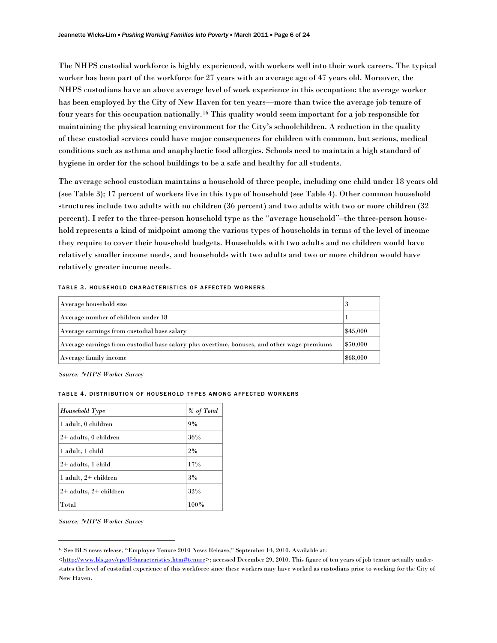The NHPS custodial workforce is highly experienced, with workers well into their work careers. The typical worker has been part of the workforce for 27 years with an average age of 47 years old. Moreover, the NHPS custodians have an above average level of work experience in this occupation: the average worker has been employed by the City of New Haven for ten years—more than twice the average job tenure of four years for this occupation nationally.[16](#page-7-0) This quality would seem important for a job responsible for maintaining the physical learning environment for the City's schoolchildren. A reduction in the quality of these custodial services could have major consequences for children with common, but serious, medical conditions such as asthma and anaphylactic food allergies. Schools need to maintain a high standard of hygiene in order for the school buildings to be a safe and healthy for all students.

The average school custodian maintains a household of three people, including one child under 18 years old (see Table 3); 17 percent of workers live in this type of household (see Table 4). Other common household structures include two adults with no children (36 percent) and two adults with two or more children (32 percent). I refer to the three-person household type as the "average household"–the three-person household represents a kind of midpoint among the various types of households in terms of the level of income they require to cover their household budgets. Households with two adults and no children would have relatively smaller income needs, and households with two adults and two or more children would have relatively greater income needs.

| Average household size                                                                      | 3        |
|---------------------------------------------------------------------------------------------|----------|
| Average number of children under 18                                                         |          |
| Average earnings from custodial base salary                                                 | \$45,000 |
| Average earnings from custodial base salary plus overtime, bonuses, and other wage premiums | \$50,000 |
| Average family income                                                                       | \$68,000 |

TABLE 3. HOUSEHOLD CHARACTERISTICS OF AFFECTED WORKERS

*Source: NHPS Worker Survey* 

#### TABLE 4. DISTRIBUTION OF HOUSEHOLD TYPES AMONG AFFECTED WORKERS

| Household Type             | % of Total |
|----------------------------|------------|
| 1 adult, 0 children        | 9%         |
| $2+$ adults, 0 children    | 36%        |
| 1 adult, 1 child           | 2%         |
| $2+$ adults, 1 child       | 17%        |
| 1 adult, 2+ children       | 3%         |
| $2+$ adults, $2+$ children | 32%        |
| Total                      | 100%       |

*Source: NHPS Worker Survey*

<span id="page-7-0"></span><sup>16</sup> See BLS news release, "Employee Tenure 2010 News Release," September 14, 2010. Available at:

 $\langle \text{http://www.bls.gov/cps/lfcharacteristics.htm#tenure>}$ ; accessed December 29, 2010. This figure of ten years of job tenure actually understates the level of custodial experience of this workforce since these workers may have worked as custodians prior to working for the City of New Haven.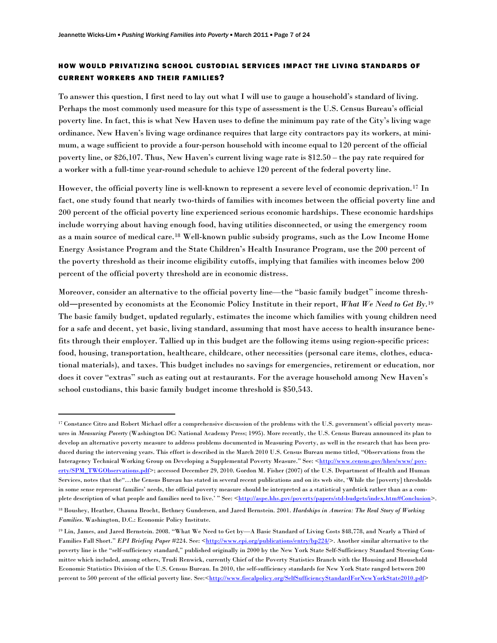# HOW WOULD PRIVATIZING SCHOOL CUSTODIAL SERVICES IMPACT THE LIVING STANDARDS OF CURRENT WORKERS AND THEIR FAMILIES?

To answer this question, I first need to lay out what I will use to gauge a household's standard of living. Perhaps the most commonly used measure for this type of assessment is the U.S. Census Bureau's official poverty line. In fact, this is what New Haven uses to define the minimum pay rate of the City's living wage ordinance. New Haven's living wage ordinance requires that large city contractors pay its workers, at minimum, a wage sufficient to provide a four-person household with income equal to 120 percent of the official poverty line, or \$26,107. Thus, New Haven's current living wage rate is \$12.50 – the pay rate required for a worker with a full-time year-round schedule to achieve 120 percent of the federal poverty line.

However, the official poverty line is well-known to represent a severe level of economic deprivation.[17](#page-8-0) In fact, one study found that nearly two-thirds of families with incomes between the official poverty line and 200 percent of the official poverty line experienced serious economic hardships. These economic hardships include worrying about having enough food, having utilities disconnected, or using the emergency room as a main source of medical care.[18](#page-8-1) Well-known public subsidy programs, such as the Low Income Home Energy Assistance Program and the State Children's Health Insurance Program, use the 200 percent of the poverty threshold as their income eligibility cutoffs, implying that families with incomes below 200 percent of the official poverty threshold are in economic distress.

Moreover, consider an alternative to the official poverty line—the "basic family budget" income threshold―presented by economists at the Economic Policy Institute in their report, *What We Need to Get By*.[19](#page-8-2) The basic family budget, updated regularly, estimates the income which families with young children need for a safe and decent, yet basic, living standard, assuming that most have access to health insurance benefits through their employer. Tallied up in this budget are the following items using region-specific prices: food, housing, transportation, healthcare, childcare, other necessities (personal care items, clothes, educational materials), and taxes. This budget includes no savings for emergencies, retirement or education, nor does it cover "extras" such as eating out at restaurants. For the average household among New Haven's school custodians, this basic family budget income threshold is \$50,543.

<span id="page-8-0"></span><sup>17</sup> Constance Citro and Robert Michael offer a comprehensive discussion of the problems with the U.S. government's official poverty measures in *Measuring Poverty* (Washington DC: National Academy Press; 1995). More recently, the U.S. Census Bureau announced its plan to develop an alternative poverty measure to address problems documented in Measuring Poverty, as well in the research that has been produced during the intervening years. This effort is described in the March 2010 U.S. Census Bureau memo titled, "Observations from the Interagency Technical Working Group on Developing a Supplemental Poverty Measure." See: <http://www.census.gov/hhes/www/pov[erty/SPM\\_TWGObservations.pdf](http://www.census.gov/hhes/www/poverty/SPM_TWGObservations.pdf)>; accessed December 29, 2010. Gordon M. Fisher (2007) of the U.S. Department of Health and Human Services, notes that the"…the Census Bureau has stated in several recent publications and on its web site, 'While the [poverty] thresholds in some sense represent families' needs, the official poverty measure should be interpreted as a statistical yardstick rather than as a complete description of what people and families need to live.'" See: <[http://aspe.hhs.gov/poverty/papers/std-budgets/index.htm#Conclusion>](http://aspe.hhs.gov/poverty/papers/std-budgets/index.htm#Conclusion).

<span id="page-8-1"></span><sup>18</sup> Boushey, Heather, Chauna Brocht, Bethney Gundersen, and Jared Bernstein. 2001. *Hardships in America: The Real Story of Working Families*. Washington, D.C.: Economic Policy Institute.

<span id="page-8-2"></span><sup>19</sup> Lin, James, and Jared Bernstein. 2008. "What We Need to Get by—A Basic Standard of Living Costs \$48,778, and Nearly a Third of Families Fall Short." *EPI Briefing Paper* #224. See: <[http://www.epi.org/publications/entry/bp224/>](http://www.epi.org/publications/entry/bp224/). Another similar alternative to the poverty line is the "self-sufficiency standard," published originally in 2000 by the New York State Self-Sufficiency Standard Steering Committee which included, among others, Trudi Renwick, currently Chief of the Poverty Statistics Branch with the Housing and Household Economic Statistics Division of the U.S. Census Bureau. In 2010, the self-sufficiency standards for New York State ranged between 200 percent to 500 percent of the official poverty line. See:<[http://www.fiscalpolicy.org/SelfSufficiencyStandardForNewYorkState2010.pdf>](http://www.fiscalpolicy.org/SelfSufficiencyStandardForNewYorkState2010.pdf)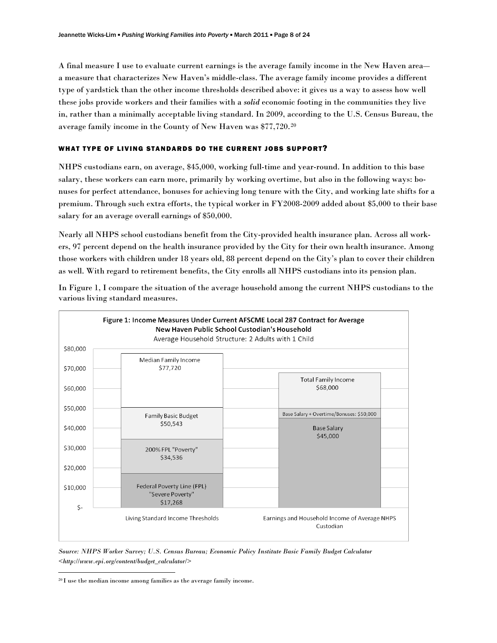A final measure I use to evaluate current earnings is the average family income in the New Haven area― a measure that characterizes New Haven's middle-class. The average family income provides a different type of yardstick than the other income thresholds described above: it gives us a way to assess how well these jobs provide workers and their families with a *solid* economic footing in the communities they live in, rather than a minimally acceptable living standard. In 2009, according to the U.S. Census Bureau, the average family income in the County of New Haven was \$77,720.[20](#page-9-0)

# WHAT TYPE OF LIVING STANDARDS DO THE CURRENT JOBS SUPPORT?

NHPS custodians earn, on average, \$45,000, working full-time and year-round. In addition to this base salary, these workers can earn more, primarily by working overtime, but also in the following ways: bonuses for perfect attendance, bonuses for achieving long tenure with the City, and working late shifts for a premium. Through such extra efforts, the typical worker in FY2008-2009 added about \$5,000 to their base salary for an average overall earnings of \$50,000.

Nearly all NHPS school custodians benefit from the City-provided health insurance plan. Across all workers, 97 percent depend on the health insurance provided by the City for their own health insurance. Among those workers with children under 18 years old, 88 percent depend on the City's plan to cover their children as well. With regard to retirement benefits, the City enrolls all NHPS custodians into its pension plan.



In Figure 1, I compare the situation of the average household among the current NHPS custodians to the various living standard measures.

*Source: NHPS Worker Survey; U.S. Census Bureau; Economic Policy Institute Basic Family Budget Calculator <http://www.epi.org/content/budget\_calculator/>* 

<span id="page-9-0"></span><sup>20</sup> I use the median income among families as the average family income.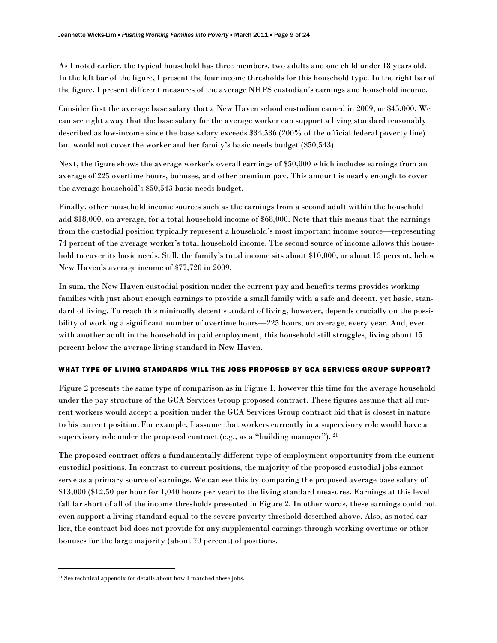As I noted earlier, the typical household has three members, two adults and one child under 18 years old. In the left bar of the figure, I present the four income thresholds for this household type. In the right bar of the figure, I present different measures of the average NHPS custodian's earnings and household income.

Consider first the average base salary that a New Haven school custodian earned in 2009, or \$45,000. We can see right away that the base salary for the average worker can support a living standard reasonably described as low-income since the base salary exceeds \$34,536 (200% of the official federal poverty line) but would not cover the worker and her family's basic needs budget (\$50,543).

Next, the figure shows the average worker's overall earnings of \$50,000 which includes earnings from an average of 225 overtime hours, bonuses, and other premium pay. This amount is nearly enough to cover the average household's \$50,543 basic needs budget.

Finally, other household income sources such as the earnings from a second adult within the household add \$18,000, on average, for a total household income of \$68,000. Note that this means that the earnings from the custodial position typically represent a household's most important income source—representing 74 percent of the average worker's total household income. The second source of income allows this household to cover its basic needs. Still, the family's total income sits about \$10,000, or about 15 percent, below New Haven's average income of \$77,720 in 2009.

In sum, the New Haven custodial position under the current pay and benefits terms provides working families with just about enough earnings to provide a small family with a safe and decent, yet basic, standard of living. To reach this minimally decent standard of living, however, depends crucially on the possibility of working a significant number of overtime hours—225 hours, on average, every year. And, even with another adult in the household in paid employment, this household still struggles, living about 15 percent below the average living standard in New Haven.

# WHAT TYPE OF LIVING STANDARDS WILL THE JOBS PROPOSED BY GCA SERVICES GROUP SUPPORT?

Figure 2 presents the same type of comparison as in Figure 1, however this time for the average household under the pay structure of the GCA Services Group proposed contract. These figures assume that all current workers would accept a position under the GCA Services Group contract bid that is closest in nature to his current position.For example, I assume that workers currently in a supervisory role would have a supervisory role under the proposed contract (e.g., as a "building manager"). <sup>[21](#page-10-0)</sup>

The proposed contract offers a fundamentally different type of employment opportunity from the current custodial positions. In contrast to current positions, the majority of the proposed custodial jobs cannot serve as a primary source of earnings. We can see this by comparing the proposed average base salary of \$13,000 (\$12.50 per hour for 1,040 hours per year) to the living standard measures. Earnings at this level fall far short of all of the income thresholds presented in Figure 2. In other words, these earnings could not even support a living standard equal to the severe poverty threshold described above. Also, as noted earlier, the contract bid does not provide for any supplemental earnings through working overtime or other bonuses for the large majority (about 70 percent) of positions.

<span id="page-10-0"></span> $21$  See technical appendix for details about how I matched these jobs.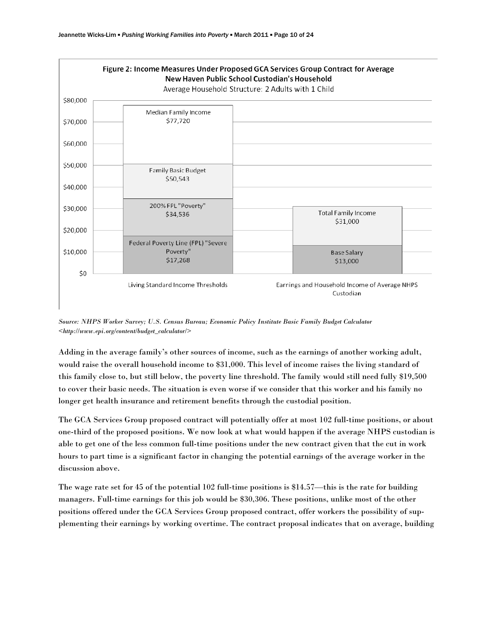

*Source: NHPS Worker Survey; U.S. Census Bureau; Economic Policy Institute Basic Family Budget Calculator <[http://www.epi.org/content/budget\\_calculator/](http://www.epi.org/content/budget_calculator/)>* 

Adding in the average family's other sources of income, such as the earnings of another working adult, would raise the overall household income to \$31,000. This level of income raises the living standard of this family close to, but still below, the poverty line threshold. The family would still need fully \$19,500 to cover their basic needs. The situation is even worse if we consider that this worker and his family no longer get health insurance and retirement benefits through the custodial position.

The GCA Services Group proposed contract will potentially offer at most 102 full-time positions, or about one-third of the proposed positions. We now look at what would happen if the average NHPS custodian is able to get one of the less common full-time positions under the new contract given that the cut in work hours to part time is a significant factor in changing the potential earnings of the average worker in the discussion above.

The wage rate set for 45 of the potential 102 full-time positions is \$14.57—this is the rate for building managers. Full-time earnings for this job would be \$30,306. These positions, unlike most of the other positions offered under the GCA Services Group proposed contract, offer workers the possibility of supplementing their earnings by working overtime. The contract proposal indicates that on average, building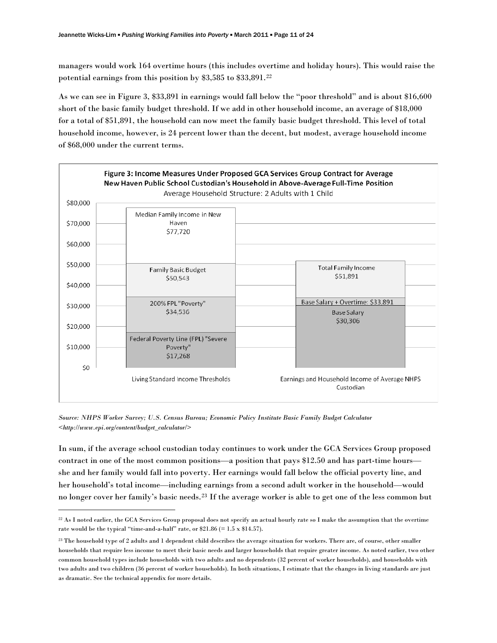managers would work 164 overtime hours (this includes overtime and holiday hours). This would raise the potential earnings from this position by \$3,585 to \$33,891.[22](#page-12-0)

As we can see in Figure 3, \$33,891 in earnings would fall below the "poor threshold" and is about \$16,600 short of the basic family budget threshold. If we add in other household income, an average of \$18,000 for a total of \$51,891, the household can now meet the family basic budget threshold. This level of total household income, however, is 24 percent lower than the decent, but modest, average household income of \$68,000 under the current terms.



*Source: NHPS Worker Survey; U.S. Census Bureau; Economic Policy Institute Basic Family Budget Calculator <[http://www.epi.org/content/budget\\_calculator/](http://www.epi.org/content/budget_calculator/)>* 

In sum, if the average school custodian today continues to work under the GCA Services Group proposed contract in one of the most common positions—a position that pays \$12.50 and has part-time hours she and her family would fall into poverty. Her earnings would fall below the official poverty line, and her household's total income—including earnings from a second adult worker in the household—would no longer cover her family's basic needs.[23](#page-12-1) If the average worker is able to get one of the less common but

<span id="page-12-0"></span><sup>22</sup> As I noted earlier, the GCA Services Group proposal does not specify an actual hourly rate so I make the assumption that the overtime rate would be the typical "time-and-a-half" rate, or  $$21.86 (= 1.5 \times $14.57)$ .

<span id="page-12-1"></span><sup>23</sup> The household type of 2 adults and 1 dependent child describes the average situation for workers. There are, of course, other smaller households that require less income to meet their basic needs and larger households that require greater income. As noted earlier, two other common household types include households with two adults and no dependents (32 percent of worker households), and households with two adults and two children (36 percent of worker households). In both situations, I estimate that the changes in living standards are just as dramatic. See the technical appendix for more details.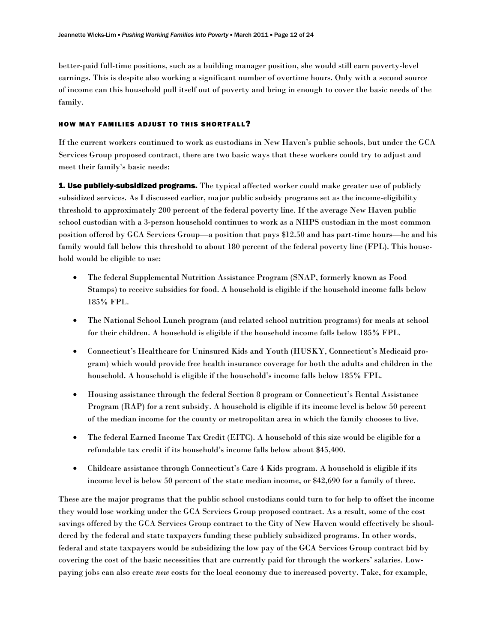better-paid full-time positions, such as a building manager position, she would still earn poverty-level earnings. This is despite also working a significant number of overtime hours. Only with a second source of income can this household pull itself out of poverty and bring in enough to cover the basic needs of the family.

### HOW MAY FAMILIES ADJUST TO THIS SHORTFALL?

If the current workers continued to work as custodians in New Haven's public schools, but under the GCA Services Group proposed contract, there are two basic ways that these workers could try to adjust and meet their family's basic needs:

**1. Use publicly-subsidized programs.** The typical affected worker could make greater use of publicly subsidized services. As I discussed earlier, major public subsidy programs set as the income-eligibility threshold to approximately 200 percent of the federal poverty line. If the average New Haven public school custodian with a 3-person household continues to work as a NHPS custodian in the most common position offered by GCA Services Group—a position that pays \$12.50 and has part-time hours—he and his family would fall below this threshold to about 180 percent of the federal poverty line (FPL). This household would be eligible to use:

- The federal Supplemental Nutrition Assistance Program (SNAP, formerly known as Food Stamps) to receive subsidies for food. A household is eligible if the household income falls below 185% FPL.
- The National School Lunch program (and related school nutrition programs) for meals at school for their children. A household is eligible if the household income falls below 185% FPL.
- Connecticut's Healthcare for Uninsured Kids and Youth (HUSKY, Connecticut's Medicaid program) which would provide free health insurance coverage for both the adults and children in the household. A household is eligible if the household's income falls below 185% FPL.
- Housing assistance through the federal Section 8 program or Connecticut's Rental Assistance Program (RAP) for a rent subsidy. A household is eligible if its income level is below 50 percent of the median income for the county or metropolitan area in which the family chooses to live.
- The federal Earned Income Tax Credit (EITC). A household of this size would be eligible for a refundable tax credit if its household's income falls below about \$45,400.
- Childcare assistance through Connecticut's Care 4 Kids program. A household is eligible if its income level is below 50 percent of the state median income, or \$42,690 for a family of three.

These are the major programs that the public school custodians could turn to for help to offset the income they would lose working under the GCA Services Group proposed contract. As a result, some of the cost savings offered by the GCA Services Group contract to the City of New Haven would effectively be shouldered by the federal and state taxpayers funding these publicly subsidized programs. In other words, federal and state taxpayers would be subsidizing the low pay of the GCA Services Group contract bid by covering the cost of the basic necessities that are currently paid for through the workers' salaries. Lowpaying jobs can also create *new* costs for the local economy due to increased poverty. Take, for example,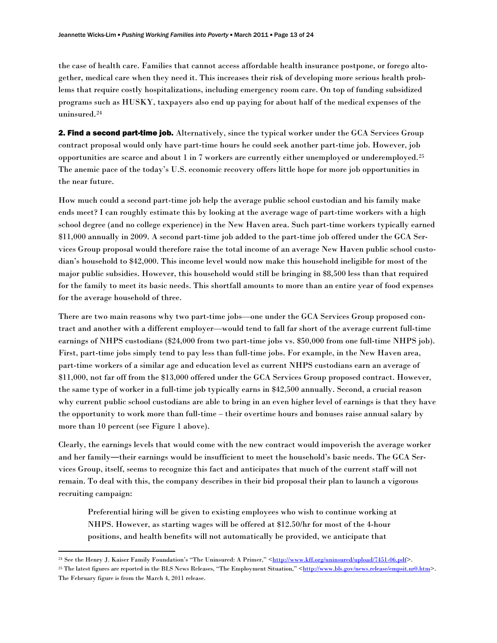the case of health care. Families that cannot access affordable health insurance postpone, or forego altogether, medical care when they need it. This increases their risk of developing more serious health problems that require costly hospitalizations, including emergency room care. On top of funding subsidized programs such as HUSKY, taxpayers also end up paying for about half of the medical expenses of the uninsured.[24](#page-14-0)

2. Find a second part-time job. Alternatively, since the typical worker under the GCA Services Group contract proposal would only have part-time hours he could seek another part-time job. However, job opportunities are scarce and about 1 in 7 workers are currently either unemployed or underemployed.[25](#page-14-1) The anemic pace of the today's U.S. economic recovery offers little hope for more job opportunities in the near future.

How much could a second part-time job help the average public school custodian and his family make ends meet? I can roughly estimate this by looking at the average wage of part-time workers with a high school degree (and no college experience) in the New Haven area. Such part-time workers typically earned \$11,000 annually in 2009. A second part-time job added to the part-time job offered under the GCA Services Group proposal would therefore raise the total income of an average New Haven public school custodian's household to \$42,000. This income level would now make this household ineligible for most of the major public subsidies. However, this household would still be bringing in \$8,500 less than that required for the family to meet its basic needs. This shortfall amounts to more than an entire year of food expenses for the average household of three.

There are two main reasons why two part-time jobs—one under the GCA Services Group proposed contract and another with a different employer—would tend to fall far short of the average current full-time earnings of NHPS custodians (\$24,000 from two part-time jobs vs. \$50,000 from one full-time NHPS job). First, part-time jobs simply tend to pay less than full-time jobs. For example, in the New Haven area, part-time workers of a similar age and education level as current NHPS custodians earn an average of \$11,000, not far off from the \$13,000 offered under the GCA Services Group proposed contract. However, the same type of worker in a full-time job typically earns in \$42,500 annually. Second, a crucial reason why current public school custodians are able to bring in an even higher level of earnings is that they have the opportunity to work more than full-time – their overtime hours and bonuses raise annual salary by more than 10 percent (see Figure 1 above).

Clearly, the earnings levels that would come with the new contract would impoverish the average worker and her family―their earnings would be insufficient to meet the household's basic needs. The GCA Services Group, itself, seems to recognize this fact and anticipates that much of the current staff will not remain. To deal with this, the company describes in their bid proposal their plan to launch a vigorous recruiting campaign:

Preferential hiring will be given to existing employees who wish to continue working at NHPS. However, as starting wages will be offered at \$12.50/hr for most of the 4-hour positions, and health benefits will not automatically be provided, we anticipate that

<span id="page-14-0"></span><sup>&</sup>lt;sup>24</sup> See the Henry J. Kaiser Family Foundation's "The Uninsured: A Primer," <<http://www.kff.org/uninsured/upload/7451-06.pdf>>.

<span id="page-14-1"></span><sup>&</sup>lt;sup>25</sup> The latest figures are reported in the BLS News Releases, "The Employment Situation," [<http://www.bls.gov/news.release/empsit.nr0.htm](http://www.bls.gov/news.release/empsit.nr0.htm)>. The February figure is from the March 4, 2011 release.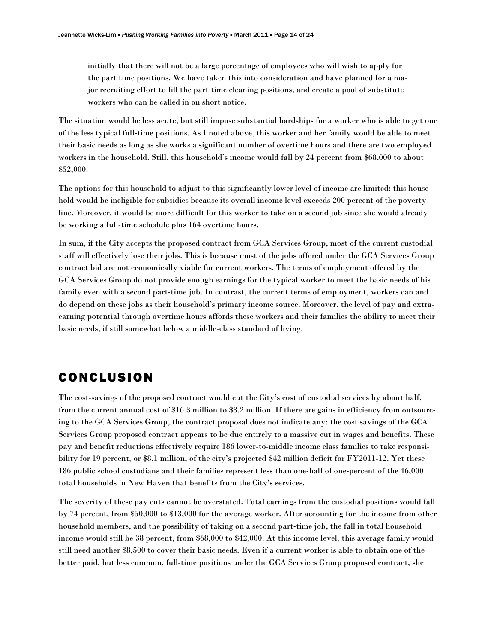initially that there will not be a large percentage of employees who will wish to apply for the part time positions. We have taken this into consideration and have planned for a major recruiting effort to fill the part time cleaning positions, and create a pool of substitute workers who can be called in on short notice.

The situation would be less acute, but still impose substantial hardships for a worker who is able to get one of the less typical full-time positions. As I noted above, this worker and her family would be able to meet their basic needs as long as she works a significant number of overtime hours and there are two employed workers in the household. Still, this household's income would fall by 24 percent from \$68,000 to about \$52,000.

The options for this household to adjust to this significantly lower level of income are limited: this household would be ineligible for subsidies because its overall income level exceeds 200 percent of the poverty line. Moreover, it would be more difficult for this worker to take on a second job since she would already be working a full-time schedule plus 164 overtime hours.

In sum, if the City accepts the proposed contract from GCA Services Group, most of the current custodial staff will effectively lose their jobs. This is because most of the jobs offered under the GCA Services Group contract bid are not economically viable for current workers. The terms of employment offered by the GCA Services Group do not provide enough earnings for the typical worker to meet the basic needs of his family even with a second part-time job. In contrast, the current terms of employment, workers can and do depend on these jobs as their household's primary income source. Moreover, the level of pay and extraearning potential through overtime hours affords these workers and their families the ability to meet their basic needs, if still somewhat below a middle-class standard of living.

# CONCLUSION

The cost-savings of the proposed contract would cut the City's cost of custodial services by about half, from the current annual cost of \$16.3 million to \$8.2 million. If there are gains in efficiency from outsourcing to the GCA Services Group, the contract proposal does not indicate any: the cost savings of the GCA Services Group proposed contract appears to be due entirely to a massive cut in wages and benefits. These pay and benefit reductions effectively require 186 lower-to-middle income class families to take responsibility for 19 percent, or \$8.1 million, of the city's projected \$42 million deficit for FY2011-12. Yet these 186 public school custodians and their families represent less than one-half of one-percent of the 46,000 total households in New Haven that benefits from the City's services.

The severity of these pay cuts cannot be overstated. Total earnings from the custodial positions would fall by 74 percent, from \$50,000 to \$13,000 for the average worker. After accounting for the income from other household members, and the possibility of taking on a second part-time job, the fall in total household income would still be 38 percent, from \$68,000 to \$42,000. At this income level, this average family would still need another \$8,500 to cover their basic needs. Even if a current worker is able to obtain one of the better paid, but less common, full-time positions under the GCA Services Group proposed contract, she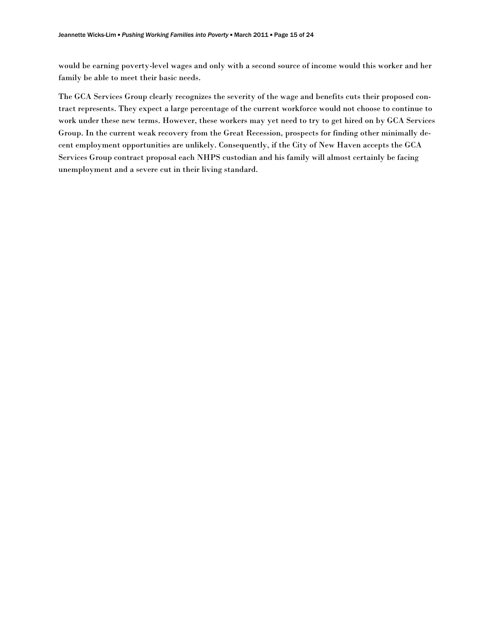would be earning poverty-level wages and only with a second source of income would this worker and her family be able to meet their basic needs.

The GCA Services Group clearly recognizes the severity of the wage and benefits cuts their proposed contract represents. They expect a large percentage of the current workforce would not choose to continue to work under these new terms. However, these workers may yet need to try to get hired on by GCA Services Group. In the current weak recovery from the Great Recession, prospects for finding other minimally decent employment opportunities are unlikely. Consequently, if the City of New Haven accepts the GCA Services Group contract proposal each NHPS custodian and his family will almost certainly be facing unemployment and a severe cut in their living standard.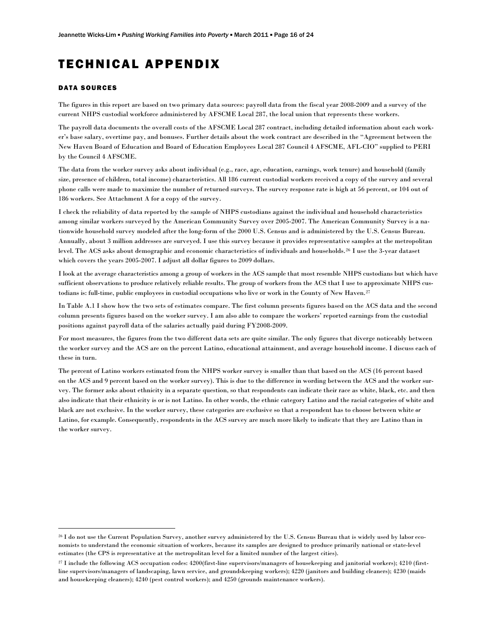# TECHNICAL APPENDIX

#### DATA SOURCES

The figures in this report are based on two primary data sources: payroll data from the fiscal year 2008-2009 and a survey of the current NHPS custodial workforce administered by AFSCME Local 287, the local union that represents these workers.

The payroll data documents the overall costs of the AFSCME Local 287 contract, including detailed information about each worker's base salary, overtime pay, and bonuses. Further details about the work contract are described in the "Agreement between the New Haven Board of Education and Board of Education Employees Local 287 Council 4 AFSCME, AFL-CIO" supplied to PERI by the Council 4 AFSCME.

The data from the worker survey asks about individual (e.g., race, age, education, earnings, work tenure) and household (family size, presence of children, total income) characteristics. All 186 current custodial workers received a copy of the survey and several phone calls were made to maximize the number of returned surveys. The survey response rate is high at 56 percent, or 104 out of 186 workers. See Attachment A for a copy of the survey.

I check the reliability of data reported by the sample of NHPS custodians against the individual and household characteristics among similar workers surveyed by the American Community Survey over 2005-2007. The American Community Survey is a nationwide household survey modeled after the long-form of the 2000 U.S. Census and is administered by the U.S. Census Bureau. Annually, about 3 million addresses are surveyed. I use this survey because it provides representative samples at the metropolitan level. The ACS asks about demographic and economic characteristics of individuals and households.[26](#page-17-0) I use the 3-year dataset which covers the years 2005-2007. I adjust all dollar figures to 2009 dollars.

I look at the average characteristics among a group of workers in the ACS sample that most resemble NHPS custodians but which have sufficient observations to produce relatively reliable results. The group of workers from the ACS that I use to approximate NHPS custodians is: full-time, public employees in custodial occupations who live or work in the County of New Haven.[27](#page-17-1)

In Table A.1 I show how the two sets of estimates compare. The first column presents figures based on the ACS data and the second column presents figures based on the worker survey. I am also able to compare the workers' reported earnings from the custodial positions against payroll data of the salaries actually paid during FY2008-2009.

For most measures, the figures from the two different data sets are quite similar. The only figures that diverge noticeably between the worker survey and the ACS are on the percent Latino, educational attainment, and average household income. I discuss each of these in turn.

The percent of Latino workers estimated from the NHPS worker survey is smaller than that based on the ACS (16 percent based on the ACS and 9 percent based on the worker survey). This is due to the difference in wording between the ACS and the worker survey. The former asks about ethnicity in a separate question, so that respondents can indicate their race as white, black, etc. and then also indicate that their ethnicity is or is not Latino. In other words, the ethnic category Latino and the racial categories of white and black are not exclusive. In the worker survey, these categories are exclusive so that a respondent has to choose between white *or*  Latino, for example. Consequently, respondents in the ACS survey are much more likely to indicate that they are Latino than in the worker survey.

<span id="page-17-0"></span><sup>26</sup> I do not use the Current Population Survey, another survey administered by the U.S. Census Bureau that is widely used by labor economists to understand the economic situation of workers, because its samples are designed to produce primarily national or state-level estimates (the CPS is representative at the metropolitan level for a limited number of the largest cities).

<span id="page-17-1"></span><sup>27</sup> I include the following ACS occupation codes: 4200(first-line supervisors/managers of housekeeping and janitorial workers); 4210 (firstline supervisors/managers of landscaping, lawn service, and groundskeeping workers); 4220 (janitors and building cleaners); 4230 (maids and housekeeping cleaners); 4240 (pest control workers); and 4250 (grounds maintenance workers).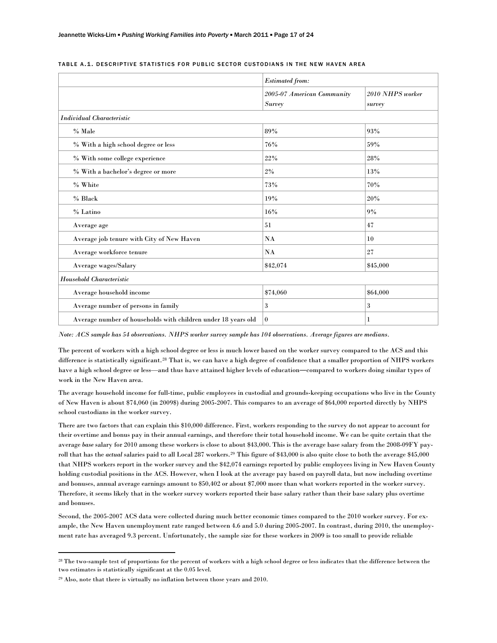|                                                               | <b>Estimated from:</b>                      |                            |  |  |
|---------------------------------------------------------------|---------------------------------------------|----------------------------|--|--|
|                                                               | 2005-07 American Community<br><b>Survey</b> | 2010 NHPS worker<br>survey |  |  |
| <b>Individual Characteristic</b>                              |                                             |                            |  |  |
| % Male                                                        | 89%                                         | 93%                        |  |  |
| % With a high school degree or less                           | 76%                                         | 59%                        |  |  |
| % With some college experience                                | 22%                                         | 28%                        |  |  |
| % With a bachelor's degree or more                            | 2%                                          | 13%                        |  |  |
| % White                                                       | $73\%$                                      | 70%                        |  |  |
| % Black                                                       | 19%                                         | 20%                        |  |  |
| % Latino                                                      | 16%                                         | 9%                         |  |  |
| Average age                                                   | 51                                          | 47                         |  |  |
| Average job tenure with City of New Haven                     | NA                                          | 10                         |  |  |
| Average workforce tenure                                      | NA                                          | 27                         |  |  |
| Average wages/Salary                                          | \$42,074                                    | \$45,000                   |  |  |
| Household Characteristic                                      |                                             |                            |  |  |
| Average household income                                      | \$74,060                                    | \$64,000                   |  |  |
| Average number of persons in family                           | 3                                           | 3                          |  |  |
| Average number of households with children under 18 years old | $\bf{0}$                                    | 1                          |  |  |

#### TABLE A.1. DESCRIPTIVE STATISTICS FOR PUBLIC SECTOR CUSTODIANS IN THE NEW HAVEN AREA

*Note: ACS sample has 54 observations. NHPS worker survey sample has 104 observations. Average figures are medians.* 

The percent of workers with a high school degree or less is much lower based on the worker survey compared to the ACS and this difference is statistically significant.[28](#page-18-0) That is, we can have a high degree of confidence that a smaller proportion of NHPS workers have a high school degree or less—and thus have attained higher levels of education―compared to workers doing similar types of work in the New Haven area.

The average household income for full-time, public employees in custodial and grounds-keeping occupations who live in the County of New Haven is about \$74,060 (in 2009\$) during 2005-2007. This compares to an average of \$64,000 reported directly by NHPS school custodians in the worker survey.

There are two factors that can explain this \$10,000 difference. First, workers responding to the survey do not appear to account for their overtime and bonus pay in their annual earnings, and therefore their total household income. We can be quite certain that the average *base* salary for 2010 among these workers is close to about \$43,000. This is the average base salary from the 2008-09FY payroll that has the *actual* salaries paid to all Local 287 workers.[29](#page-18-1) This figure of \$43,000 is also quite close to both the average \$45,000 that NHPS workers report in the worker survey and the \$42,074 earnings reported by public employees living in New Haven County holding custodial positions in the ACS. However, when I look at the average pay based on payroll data, but now including overtime and bonuses, annual average earnings amount to \$50,402 or about \$7,000 more than what workers reported in the worker survey. Therefore, it seems likely that in the worker survey workers reported their base salary rather than their base salary plus overtime and bonuses.

Second, the 2005-2007 ACS data were collected during much better economic times compared to the 2010 worker survey. For example, the New Haven unemployment rate ranged between 4.6 and 5.0 during 2005-2007. In contrast, during 2010, the unemployment rate has averaged 9.3 percent. Unfortunately, the sample size for these workers in 2009 is too small to provide reliable

<span id="page-18-0"></span><sup>&</sup>lt;sup>28</sup> The two-sample test of proportions for the percent of workers with a high school degree or less indicates that the difference between the two estimates is statistically significant at the 0.05 level.

<span id="page-18-1"></span><sup>29</sup> Also, note that there is virtually no inflation between those years and 2010.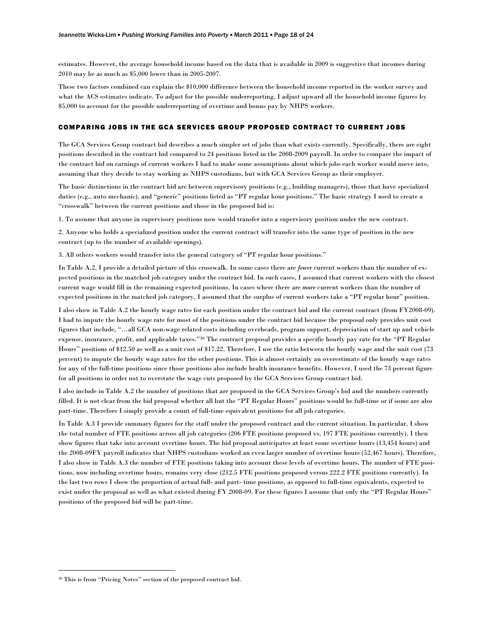estimates. However, the average household income based on the data that is available in 2009 is suggestive that incomes during 2010 may be as much as \$5,000 lower than in 2005-2007.

These two factors combined can explain the \$10,000 difference between the household income reported in the worker survey and what the ACS estimates indicate. To adjust for the possible underreporting, I adjust upward all the household income figures by \$5,000 to account for the possible underreporting of overtime and bonus pay by NHPS workers.

### COMPARING JOBS IN THE GCA SERVICES GROUP PROPOSED CONTRACT TO CURRENT JOBS

The GCA Services Group contract bid describes a much simpler set of jobs than what exists currently. Specifically, there are eight positions described in the contract bid compared to 24 positions listed in the 2008-2009 payroll. In order to compare the impact of the contract bid on earnings of current workers I had to make some assumptions about which jobs each worker would move into, assuming that they decide to stay working as NHPS custodians, but with GCA Services Group as their employer.

The basic distinctions in the contract bid are between supervisory positions (e.g., building managers), those that have specialized duties (e.g., auto mechanic), and "generic" positions listed as "PT regular hour positions." The basic strategy I used to create a "crosswalk" between the current positions and those in the proposed bid is:

1. To assume that anyone in supervisory positions now would transfer into a supervisory position under the new contract.

2. Anyone who holds a specialized position under the current contract will transfer into the same type of position in the new contract (up to the number of available openings).

3. All others workers would transfer into the general category of "PT regular hour positions."

In Table A.2, I provide a detailed picture of this crosswalk. In some cases there are *fewer* current workers than the number of expected positions in the matched job category under the contract bid. In such cases, I assumed that current workers with the closest current wage would fill in the remaining expected positions. In cases where there are *more* current workers than the number of expected positions in the matched job category, I assumed that the surplus of current workers take a "PT regular hour" position.

I also show in Table A.2 the hourly wage rates for each position under the contract bid and the current contract (from FY2008-09). I had to impute the hourly wage rate for most of the positions under the contract bid because the proposal only provides unit cost figures that include, "…all GCA non-wage related costs including overheads, program support, depreciation of start up and vehicle expense, insurance, profit, and applicable taxes."[30](#page-19-0) The contract proposal provides a specific hourly pay rate for the "PT Regular Hours" positions of \$12.50 as well as a unit cost of \$17.22. Therefore, I use the ratio between the hourly wage and the unit cost (73 percent) to impute the hourly wage rates for the other positions. This is almost certainly an overestimate of the hourly wage rates for any of the full-time positions since those positions also include health insurance benefits. However, I used the 73 percent figure for all positions in order not to overstate the wage cuts proposed by the GCA Services Group contract bid.

I also include in Table A.2 the number of positions that are proposed in the GCA Services Group's bid and the numbers currently filled. It is not clear from the bid proposal whether all but the "PT Regular Hours" positions would be full-time or if some are also part-time. Therefore I simply provide a count of full-time equivalent positions for all job categories.

In Table A.3 I provide summary figures for the staff under the proposed contract and the current situation. In particular, I show the total number of FTE positions across all job categories (206 FTE positions proposed vs. 197 FTE positions currently). I then show figures that take into account overtime hours. The bid proposal anticipates at least some overtime hours (13,454 hours) and the 2008-09FY payroll indicates that NHPS custodians worked an even larger number of overtime hours (52,467 hours). Therefore, I also show in Table A.3 the number of FTE positions taking into account these levels of overtime hours. The number of FTE positions, now including overtime hours, remains very close (212.5 FTE positions proposed versus 222.2 FTE positions currently). In the last two rows I show the proportion of actual full- and part- time positions, as opposed to full-time equivalents, expected to exist under the proposal as well as what existed during FY 2008-09. For these figures I assume that only the "PT Regular Hours" positions of the proposed bid will be part-time.

<span id="page-19-0"></span><sup>30</sup> This is from "Pricing Notes" section of the proposed contract bid.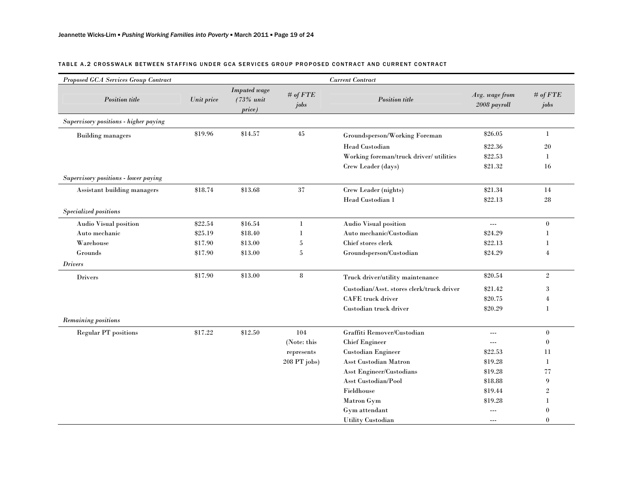#### TABLE A.2 CROSSWALK BETWEEN STAFFING UNDER GCA SERVICES GROUP PROPOSED CONTRACT AND CURRENT CONTRACT

| Proposed GCA Services Group Contract  |            |                                            |                    | <b>Current Contract</b>                   |                                |                    |
|---------------------------------------|------------|--------------------------------------------|--------------------|-------------------------------------------|--------------------------------|--------------------|
| <b>Position</b> title                 | Unit price | <b>Imputed</b> wage<br>(73% unit<br>price) | # of $FTE$<br>jobs | <b>Position</b> title                     | Avg. wage from<br>2008 payroll | # of $FTE$<br>jobs |
| Supervisory positions - higher paying |            |                                            |                    |                                           |                                |                    |
| <b>Building managers</b>              | \$19.96    | \$14.57                                    | 45                 | Groundsperson/Working Foreman             | \$26.05                        | $\mathbf{1}$       |
|                                       |            |                                            |                    | Head Custodian                            | \$22.36                        | 20                 |
|                                       |            |                                            |                    | Working foreman/truck driver/ utilities   | \$22.53                        | 1                  |
|                                       |            |                                            |                    | Crew Leader (days)                        | \$21.32                        | 16                 |
| Supervisory positions - lower paying  |            |                                            |                    |                                           |                                |                    |
| Assistant building managers           | \$18.74    | \$13.68                                    | 37                 | Crew Leader (nights)                      | \$21.34                        | 14                 |
|                                       |            |                                            |                    | Head Custodian 1                          | \$22.13                        | 28                 |
| Specialized positions                 |            |                                            |                    |                                           |                                |                    |
| Audio Visual position                 | \$22.54    | \$16.54                                    | $\mathbf{1}$       | Audio Visual position                     | $\overline{a}$                 | $\mathbf{0}$       |
| Auto mechanic                         | \$25.19    | \$18.40                                    | 1                  | Auto mechanic/Custodian                   | \$24.29                        | -1                 |
| Warehouse                             | \$17.90    | \$13.00                                    | 5                  | Chief stores clerk                        | \$22.13                        |                    |
| Grounds                               | \$17.90    | \$13.00                                    | 5                  | Groundsperson/Custodian                   | \$24.29                        | $\overline{4}$     |
| <b>Drivers</b>                        |            |                                            |                    |                                           |                                |                    |
| <b>Drivers</b>                        | \$17.90    | \$13.00                                    | 8                  | Truck driver/utility maintenance          | \$20.54                        | $\overline{2}$     |
|                                       |            |                                            |                    | Custodian/Asst. stores clerk/truck driver | \$21.42                        | 3                  |
|                                       |            |                                            |                    | <b>CAFE</b> truck driver                  | \$20.75                        | $\overline{4}$     |
|                                       |            |                                            |                    | Custodian truck driver                    | \$20.29                        | $\mathbf 1$        |
| Remaining positions                   |            |                                            |                    |                                           |                                |                    |
| <b>Regular PT</b> positions           | \$17.22    | \$12.50                                    | 104                | Graffiti Remover/Custodian                | $---$                          | $\boldsymbol{0}$   |
|                                       |            |                                            | (Note: this        | <b>Chief Engineer</b>                     | $---$                          | $\boldsymbol{0}$   |
|                                       |            |                                            | represents         | Custodian Engineer                        | \$22.53                        | 11                 |
|                                       |            |                                            | 208 PT jobs)       | Asst Custodian Matron                     | \$19.28                        | -1                 |
|                                       |            |                                            |                    | Asst Engineer/Custodians                  | \$19.28                        | 77                 |
|                                       |            |                                            |                    | <b>Asst Custodian/Pool</b>                | \$18.88                        | 9                  |
|                                       |            |                                            |                    | Fieldhouse                                | \$19.44                        | $\overline{2}$     |
|                                       |            |                                            |                    | Matron Gym                                | \$19.28                        | -1                 |
|                                       |            |                                            |                    | Gym attendant                             | $\overline{a}$                 | $\theta$           |
|                                       |            |                                            |                    | <b>Utility Custodian</b>                  | $---$                          | $\theta$           |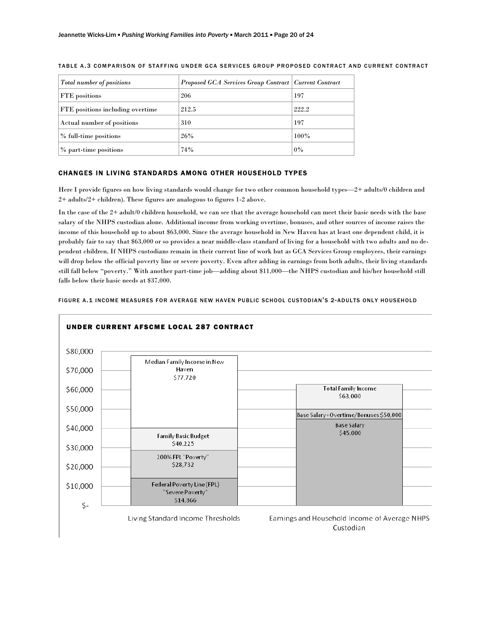| <b>Total number of positions</b> | Proposed GCA Services Group Contract   Current Contract |       |
|----------------------------------|---------------------------------------------------------|-------|
| FTE positions                    | 206                                                     | 197   |
| FTE positions including overtime | 212.5                                                   | 222.2 |
| Actual number of positions       | 310                                                     | 197   |
| % full-time positions            | 26%                                                     | 100%  |
| % part-time positions            | 74%                                                     | 0%    |

TABLE A.3 COMPARISON OF STAFFING UNDER GCA SERVICES GROUP PROPOSED CONTRACT AND CURRENT CONTRACT

### CHANGES IN LIVING STANDARDS AMONG OTHER HOUSEHOLD TYPES

Here I provide figures on how living standards would change for two other common household types—2+ adults/0 children and 2+ adults/2+ children). These figures are analogous to figures 1-2 above.

In the case of the 2+ adult/0 children household, we can see that the average household can meet their basic needs with the base salary of the NHPS custodian alone. Additional income from working overtime, bonuses, and other sources of income raises the income of this household up to about \$63,000. Since the average household in New Haven has at least one dependent child, it is probably fair to say that \$63,000 or so provides a near middle-class standard of living for a household with two adults and no dependent children. If NHPS custodians remain in their current line of work but as GCA Services Group employees, their earnings will drop below the official poverty line or severe poverty. Even after adding in earnings from both adults, their living standards still fall below "poverty." With another part-time job—adding about \$11,000—the NHPS custodian and his/her household still falls below their basic needs at \$37,000.



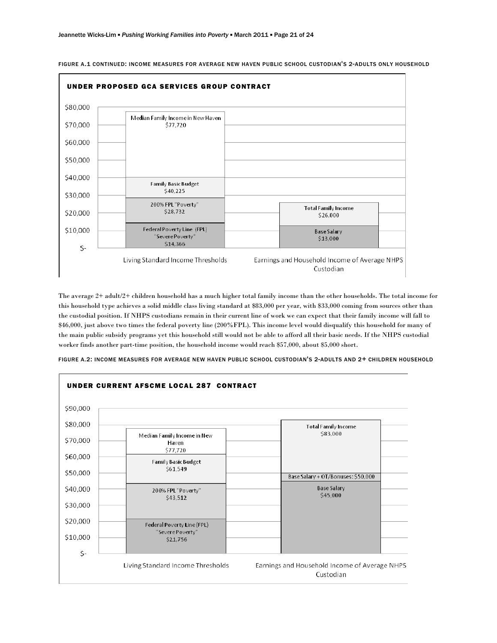

FIGURE A.1 CONTINUED: INCOME MEASURES FOR AVERAGE NEW HAVEN PUBLIC SCHOOL CUSTODIAN'S 2-ADULTS ONLY HOUSEHOLD

The average 2+ adult/2+ children household has a much higher total family income than the other households. The total income for this household type achieves a solid middle class living standard at \$83,000 per year, with \$33,000 coming from sources other than the custodial position. If NHPS custodians remain in their current line of work we can expect that their family income will fall to \$46,000, just above two times the federal poverty line (200%FPL). This income level would disqualify this household for many of the main public subsidy programs yet this household still would not be able to afford all their basic needs. If the NHPS custodial worker finds another part-time position, the household income would reach \$57,000, about \$5,000 short.

UNDER CURRENT AFSCME LOCAL 287 CONTRACT\$90,000 \$80,000 **Total Family Income** \$83,000 Median Family Income in New \$70,000 Haven \$77,720 \$60,000 Family Basic Budget \$61,549 \$50,000 Base Salary + OT/Bonuses: \$50,000 \$40,000 **Base Salary** 200% FPL "Poverty" \$45,000 \$43,512 \$30,000 \$20,000 Federal Poverty Line (FPL) 'Severe Poverty' \$10,000 \$21,756  $\mathsf{S}$ -Living Standard Income Thresholds Earnings and Household Income of Average NHPS Custodian

 $\overline{\phantom{a}}$ 

FIGURE A.2: INCOME MEASURES FOR AVERAGE NEW HAVEN PUBLIC SCHOOL CUSTODIAN'S 2-ADULTS AND 2+ CHILDREN HOUSEHOLD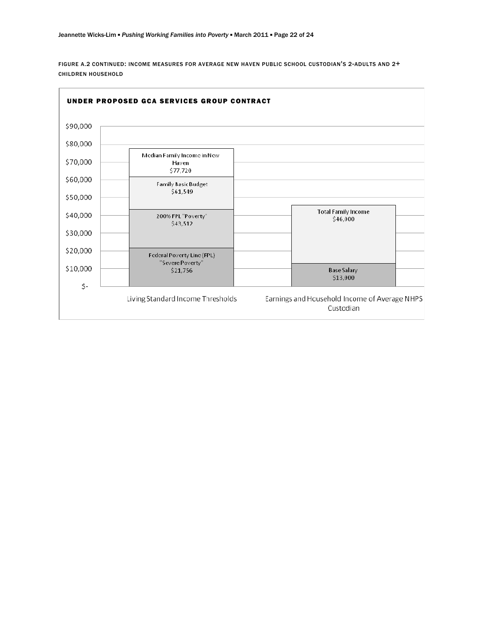FIGURE A.2 CONTINUED: INCOME MEASURES FOR AVERAGE NEW HAVEN PUBLIC SCHOOL CUSTODIAN'S 2-ADULTS AND 2+ CHILDREN HOUSEHOLD

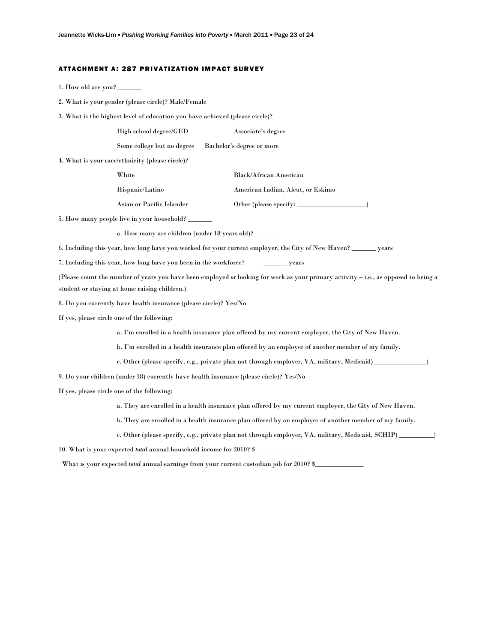#### ATTACHMENT A: 287 PRIVATIZATION IMPACT SURVEY

- 1. How old are you?
- 2. What is your gender (please circle)? Male/Female
- 3. What is the highest level of education you have achieved (please circle)?

| High school degree/GED | Associate's degree |
|------------------------|--------------------|
|------------------------|--------------------|

Some college but no degree Bachelor's degree or more

4. What is your race/ethnicity (please circle)?

| White                     | <b>Black/African American</b>     |
|---------------------------|-----------------------------------|
| Hispanic/Latino           | American Indian, Aleut, or Eskimo |
| Asian or Pacific Islander | Other (please specify:            |

5. How many people live in your household? \_\_\_\_\_\_\_

a. How many are children (under 18 years old)?

6. Including this year, how long have you worked for your current employer, the City of New Haven? \_\_\_\_\_\_\_ years

7. Including this year, how long have you been in the workforce? \_\_\_\_\_\_\_\_\_ years

(Please count the number of years you have been employed *or* looking for work as your primary activity – i.e., as opposed to being a student or staying at home raising children.)

8. Do you currently have health insurance (please circle)? Yes/No

If yes, please circle one of the following:

a. I'm enrolled in a health insurance plan offered by my current employer, the City of New Haven.

b. I'm enrolled in a health insurance plan offered by an employer of another member of my family.

c. Other (please specify, e.g., private plan not through employer, VA, military, Medicaid) \_\_\_\_\_\_\_\_

9. Do your children (under 18) currently have health insurance (please circle)? Yes/No

If yes, please circle one of the following:

a. They are enrolled in a health insurance plan offered by my current employer, the City of New Haven.

b. They are enrolled in a health insurance plan offered by an employer of another member of my family.

c. Other (please specify, e.g., private plan not through employer, VA, military, Medicaid, SCHIP) \_\_\_\_\_\_\_\_\_\_)

10. What is your expected *total* annual household income for 2010? \$\_\_\_\_\_\_\_\_\_\_\_\_\_\_

What is your expected *total* annual earnings from your current custodian job for 2010? \$